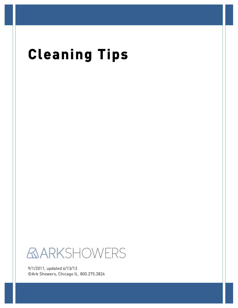# **Cleaning Tips**



9/1/2011, updated 6/13/13 ©Ark Showers, Chicago IL. 800.275.3824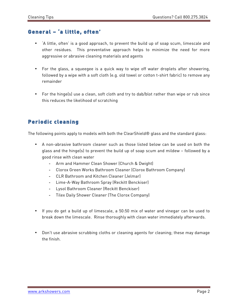## General – 'a little, often'

- 'A little, often' is a good approach, to prevent the build up of soap scum, limescale and other residues. This preventative approach helps to minimize the need for more aggressive or abrasive cleaning materials and agents
- For the glass, a squeegee is a quick way to wipe off water droplets after showering, followed by a wipe with a soft cloth (e.g. old towel or cotton t-shirt fabric) to remove any remainder
- For the hinge(s) use a clean, soft cloth and try to dab/blot rather than wipe or rub since this reduces the likelihood of scratching

### Periodic cleaning

The following points apply to models with both the ClearShield® glass and the standard glass:

- A non-abrasive bathroom cleaner such as those listed below can be used on both the glass and the hinge(s) to prevent the build up of soap scum and mildew – followed by a good rinse with clean water
	- Arm and Hammer Clean Shower (Church & Dwight)
	- Clorox Green Works Bathroom Cleaner (Clorox Bathroom Company)
	- CLR Bathroom and Kitchen Cleaner (Jelmar)
	- Lime-A-Way Bathroom Spray (Reckitt Benckiser)
	- Lysol Bathroom Cleaner (Reckitt Benckiser)
	- Tilex Daily Shower Cleaner (The Clorox Company)
- If you do get a build up of limescale, a 50:50 mix of water and vinegar can be used to break down the limescale. Rinse thoroughly with clean water immediately afterwards.
- Don't use abrasive scrubbing cloths or cleaning agents for cleaning; these may damage the finish.